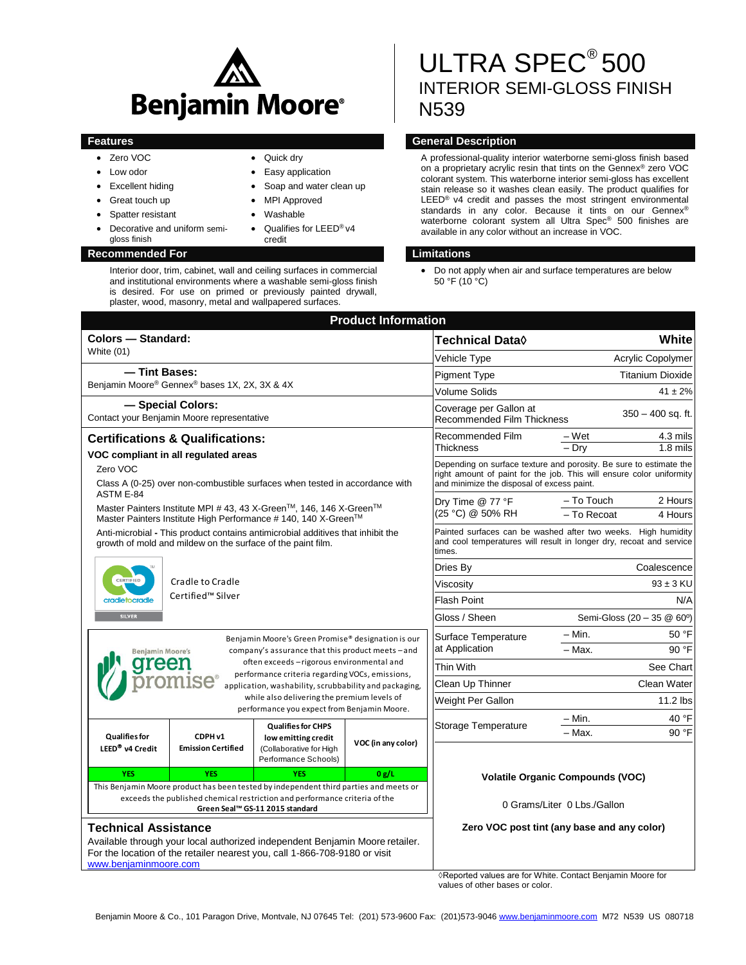

• Quick dry • Easy application

credit

 MPI Approved Washable

Soap and water clean up

Qualifies for LEED® v4

- Zero VOC
- Low odor
- Excellent hiding
- Great touch up
- Spatter resistant
- Decorative and uniform semigloss finish

### **Recommended For Limitations**

Interior door, trim, cabinet, wall and ceiling surfaces in commercial and institutional environments where a washable semi-gloss finish is desired. For use on primed or previously painted drywall, plaster, wood, masonry, metal and wallpapered surfaces.

# ULTRA SPEC® 500 INTERIOR SEMI-GLOSS FINISH N539

## **Features CENE CONSUMING THE CONSUMING TENS AND SERVICE CONSUMING TENS AND SERVICE CONSUMING TENS AND SERVICE CONSUMING TENS AND SERVICE CONSUMING THE CONSUMING TENS AND SERVICE CONSUMING THE CONSUMING TENS AND SERVICE C**

A professional-quality interior waterborne semi-gloss finish based on a proprietary acrylic resin that tints on the Gennex® zero VOC colorant system. This waterborne interior semi-gloss has excellent stain release so it washes clean easily. The product qualifies for LEED<sup>®</sup> v4 credit and passes the most stringent environmental standards in any color. Because it tints on our Gennex® waterborne colorant system all Ultra Spec® 500 finishes are available in any color without an increase in VOC.

 Do not apply when air and surface temperatures are below 50 °F (10 °C)

| <b>Product Information</b>                                                                                                                                                                                         |                                                   |                                                                                               |                         |                                                                                                                                                                                          |                         |              |
|--------------------------------------------------------------------------------------------------------------------------------------------------------------------------------------------------------------------|---------------------------------------------------|-----------------------------------------------------------------------------------------------|-------------------------|------------------------------------------------------------------------------------------------------------------------------------------------------------------------------------------|-------------------------|--------------|
| Colors - Standard:                                                                                                                                                                                                 |                                                   |                                                                                               | <b>Technical Data</b> ◊ |                                                                                                                                                                                          | White                   |              |
| White $(01)$                                                                                                                                                                                                       |                                                   |                                                                                               |                         | Vehicle Type                                                                                                                                                                             | Acrylic Copolymer       |              |
| - Tint Bases:<br>Benjamin Moore® Gennex® bases 1X, 2X, 3X & 4X                                                                                                                                                     |                                                   |                                                                                               |                         | <b>Pigment Type</b>                                                                                                                                                                      | <b>Titanium Dioxide</b> |              |
|                                                                                                                                                                                                                    |                                                   |                                                                                               |                         | Volume Solids                                                                                                                                                                            |                         | $41 \pm 2\%$ |
| - Special Colors:<br>Contact your Benjamin Moore representative                                                                                                                                                    |                                                   |                                                                                               |                         | Coverage per Gallon at<br><b>Recommended Film Thickness</b>                                                                                                                              | $350 - 400$ sq. ft.     |              |
| <b>Certifications &amp; Qualifications:</b>                                                                                                                                                                        |                                                   |                                                                                               |                         | Recommended Film                                                                                                                                                                         | – Wet                   | 4.3 mils     |
| VOC compliant in all regulated areas                                                                                                                                                                               |                                                   |                                                                                               |                         | Thickness                                                                                                                                                                                | $-$ Dry                 | $1.8$ mils   |
| Zero VOC<br>Class A (0-25) over non-combustible surfaces when tested in accordance with                                                                                                                            |                                                   |                                                                                               |                         | Depending on surface texture and porosity. Be sure to estimate the<br>right amount of paint for the job. This will ensure color uniformity<br>and minimize the disposal of excess paint. |                         |              |
| ASTM E-84                                                                                                                                                                                                          |                                                   |                                                                                               |                         | Dry Time @ 77 °F                                                                                                                                                                         | – To Touch              | 2 Hours      |
| Master Painters Institute MPI # 43, 43 X-Green™, 146, 146 X-Green™<br>Master Painters Institute High Performance # 140, 140 X-Green™                                                                               |                                                   |                                                                                               |                         | (25 °C) @ 50% RH                                                                                                                                                                         | - To Recoat             | 4 Hours      |
| Anti-microbial - This product contains antimicrobial additives that inhibit the<br>growth of mold and mildew on the surface of the paint film.                                                                     |                                                   |                                                                                               |                         | Painted surfaces can be washed after two weeks. High humidity<br>and cool temperatures will result in longer dry, recoat and service<br>times.                                           |                         |              |
|                                                                                                                                                                                                                    | Cradle to Cradle<br>Certified <sup>™</sup> Silver |                                                                                               |                         | Dries By                                                                                                                                                                                 | Coalescence             |              |
| CERTIFIED                                                                                                                                                                                                          |                                                   |                                                                                               |                         | Viscositv                                                                                                                                                                                | $93 \pm 3$ KU           |              |
| cradletocradle                                                                                                                                                                                                     |                                                   |                                                                                               |                         | <b>Flash Point</b>                                                                                                                                                                       |                         | N/A          |
| <b>SILVER</b>                                                                                                                                                                                                      |                                                   |                                                                                               | Gloss / Sheen           | Semi-Gloss (20 - 35 @ 60°)                                                                                                                                                               |                         |              |
| Benjamin Moore's Green Promise® designation is our                                                                                                                                                                 |                                                   |                                                                                               |                         | Surface Temperature                                                                                                                                                                      | $-$ Min.                | 50 °F        |
| company's assurance that this product meets - and<br><b>Benjamin Moore's</b>                                                                                                                                       |                                                   |                                                                                               | at Application          | - Max.                                                                                                                                                                                   | 90 °F                   |              |
|                                                                                                                                                                                                                    |                                                   | often exceeds - rigorous environmental and<br>performance criteria regarding VOCs, emissions, | Thin With               | See Chart                                                                                                                                                                                |                         |              |
| application, washability, scrubbability and packaging,<br>while also delivering the premium levels of<br>performance you expect from Benjamin Moore.                                                               |                                                   |                                                                                               |                         | Clean Up Thinner                                                                                                                                                                         | Clean Water             |              |
|                                                                                                                                                                                                                    |                                                   |                                                                                               |                         | Weight Per Gallon                                                                                                                                                                        |                         | $11.2$ lbs   |
|                                                                                                                                                                                                                    |                                                   | <b>Qualifies for CHPS</b>                                                                     |                         | Storage Temperature                                                                                                                                                                      | – Min.                  | 40 °F        |
| <b>Qualifies for</b><br>LEED <sup>®</sup> v4 Credit                                                                                                                                                                | CDPH <sub>v1</sub><br><b>Emission Certified</b>   | low emitting credit<br>(Collaborative for High<br>Performance Schools)                        | VOC (in any color)      |                                                                                                                                                                                          | - Max.                  | 90 °F        |
| YES.                                                                                                                                                                                                               | <b>YES</b>                                        | <b>YES</b>                                                                                    | 0 g/L                   | <b>Volatile Organic Compounds (VOC)</b>                                                                                                                                                  |                         |              |
| This Benjamin Moore product has been tested by independent third parties and meets or                                                                                                                              |                                                   |                                                                                               |                         | 0 Grams/Liter 0 Lbs./Gallon                                                                                                                                                              |                         |              |
| exceeds the published chemical restriction and performance criteria of the<br>Green Seal™ GS-11 2015 standard                                                                                                      |                                                   |                                                                                               |                         |                                                                                                                                                                                          |                         |              |
| <b>Technical Assistance</b><br>Available through your local authorized independent Benjamin Moore retailer.<br>For the location of the retailer nearest you, call 1-866-708-9180 or visit<br>www.benjaminmoore.com |                                                   |                                                                                               |                         | Zero VOC post tint (any base and any color)<br>◊ Reported values are for White. Contact Benjamin Moore for                                                                               |                         |              |
|                                                                                                                                                                                                                    |                                                   |                                                                                               |                         | values of other bases or color.                                                                                                                                                          |                         |              |